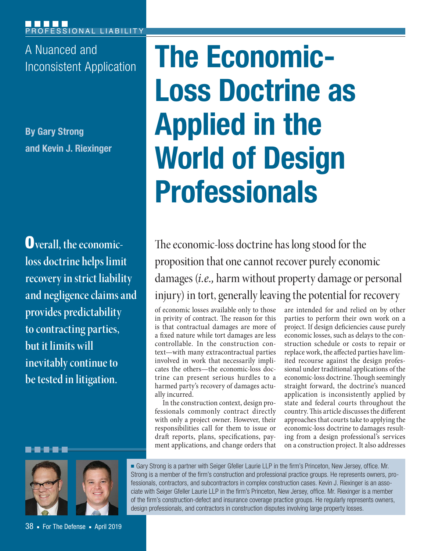A Nuanced and

**By Gary Strong and Kevin J. Riexinger**

**Overall, the economicloss doctrine helps limit recovery in strict liability and negligence claims and provides predictability to contracting parties, but it limits will inevitably continue to be tested in litigation.**

# A Nuanced and **The Economic-Loss Doctrine as Applied in the World of Design Professionals**

The economic-loss doctrine has long stood for the proposition that one cannot recover purely economic damages (*i.e.*, harm without property damage or personal injury) in tort, generally leaving the potential for recovery

of economic losses available only to those in privity of contract. The reason for this is that contractual damages are more of a fixed nature while tort damages are less controllable. In the construction context—with many extracontractual parties involved in work that necessarily implicates the others—the economic-loss doctrine can present serious hurdles to a harmed party's recovery of damages actually incurred.

In the construction context, design professionals commonly contract directly with only a project owner. However, their responsibilities call for them to issue or draft reports, plans, specifications, payment applications, and change orders that

are intended for and relied on by other parties to perform their own work on a project. If design deficiencies cause purely economic losses, such as delays to the construction schedule or costs to repair or replace work, the affected parties have limited recourse against the design professional under traditional applications of the economic- loss doctrine. Though seemingly straight forward, the doctrine's nuanced application is inconsistently applied by state and federal courts throughout the country. This article discusses the different approaches that courts take to applying the economic-loss doctrine to damages resulting from a design professional's services on a construction project. It also addresses



38 ■ For The Defense ■ April 2019

■ Gary Strong is a partner with Seiger Gfeller Laurie LLP in the firm's Princeton, New Jersey, office. Mr. Strong is a member of the firm's construction and professional practice groups. He represents owners, professionals, contractors, and subcontractors in complex construction cases. Kevin J. Riexinger is an associate with Seiger Gfeller Laurie LLP in the firm's Princeton, New Jersey, office. Mr. Riexinger is a member of the firm's construction- defect and insurance coverage practice groups. He regularly represents owners, design professionals, and contractors in construction disputes involving large property losses.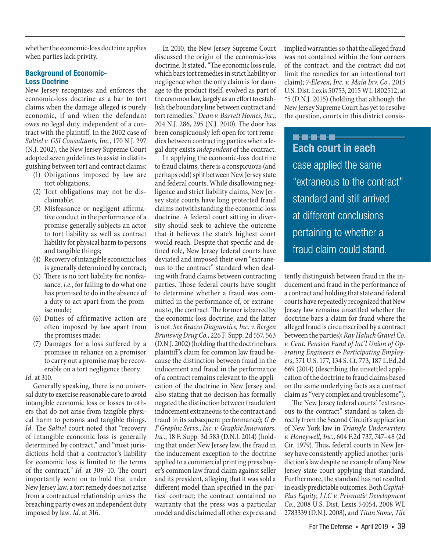whether the economic-loss doctrine applies when parties lack privity.

#### **Background of Economic-Loss Doctrine**

New Jersey recognizes and enforces the economic-loss doctrine as a bar to tort claims when the damage alleged is purely economic, if and when the defendant owes no legal duty independent of a contract with the plaintiff. In the 2002 case of Saltiel v. GSI Consultants, Inc., 170 N.J. 297 (N.J. 2002), the New Jersey Supreme Court adopted seven guidelines to assist in distinguishing between tort and contract claims:

- (1) Obligations imposed by law are tort obligations;
- (2) Tort obligations may not be disclaimable;
- (3) Misfeasance or negligent affirmative conduct in the performance of a promise generally subjects an actor to tort liability as well as contract liability for physical harm to persons and tangible things;
- (4) Recovery of intangible economic loss is generally determined by contract;
- (5) There is no tort liability for nonfeasance, *i.e.*, for failing to do what one has promised to do in the absence of a duty to act apart from the promise made;
- (6) Duties of affirmative action are often imposed by law apart from the promises made;
- (7) Damages for a loss suffered by a promisee in reliance on a promisor to carry out a promise may be recoverable on a tort negligence theory.

Id. at 310.

Generally speaking, there is no universal duty to exercise reasonable care to avoid intangible economic loss or losses to others that do not arise from tangible physical harm to persons and tangible things. Id. The Saltiel court noted that "recovery of intangible economic loss is generally determined by contract," and "most jurisdictions hold that a contractor's liability for economic loss is limited to the terms of the contract." Id. at 309–10. The court importantly went on to hold that under New Jersey law, a tort remedy does not arise from a contractual relationship unless the breaching party owes an independent duty imposed by law. Id. at 316.

In 2010, the New Jersey Supreme Court discussed the origin of the economic-loss doctrine. It stated, "The economic loss rule, which bars tort remedies in strict liability or negligence when the only claim is for damage to the product itself, evolved as part of the common law, largely as an effort to establish the boundary line between contract and tort remedies." Dean v. Barrett Homes, Inc., 204 N.J. 286, 295 (N.J. 2010). The door has been conspicuously left open for tort remedies between contracting parties when a legal duty exists independent of the contract.

In applying the economic-loss doctrine to fraud claims, there is a conspicuous (and perhaps odd) split between New Jersey state and federal courts. While disallowing negligence and strict liability claims, New Jersey state courts have long protected fraud claims notwithstanding the economic- loss doctrine. A federal court sitting in diversity should seek to achieve the outcome that it believes the state's highest court would reach. Despite that specific and defined role, New Jersey federal courts have deviated and imposed their own "extraneous to the contract" standard when dealing with fraud claims between contracting parties. Those federal courts have sought to determine whether a fraud was committed in the performance of, or extraneous to, the contract. The former is barred by the economic-loss doctrine, and the latter is not. See Bracco Diagnostics, Inc. v. Bergen Brunswig Drug Co., 226 F. Supp. 2d 557, 563 (D.N.J. 2002) (holding that the doctrine bars plaintiff's claim for common law fraud because the distinction between fraud in the inducement and fraud in the performance of a contract remains relevant to the application of the doctrine in New Jersey and also stating that no decision has formally negated the distinction between fraudulent inducement extraneous to the contract and fraud in its subsequent performance);  $G \not\in$ F Graphic Servs., Inc. v. Graphic Innovators, Inc., 18 F. Supp. 3d 583 (D.N.J. 2014) (holding that under New Jersey law, the fraud in the inducement exception to the doctrine applied to a commercial printing press buyer's common law fraud claim against seller and its president, alleging that it was sold a different model than specified in the parties' contract; the contract contained no warranty that the press was a particular model and disclaimed all other express and

implied warranties so that the alleged fraud was not contained within the four corners of the contract, and the contract did not limit the remedies for an intentional tort claim); 7-Eleven, Inc. v. Maia Inv. Co., 2015 U.S. Dist. Lexis 50753, 2015 WL 1802512, at \*5 (D.N.J. 2015) (holding that although the New Jersey Supreme Court has yet to resolve the question, courts in this district consis-

**..... Each court in each**  case applied the same "extraneous to the contract" standard and still arrived at different conclusions pertaining to whether a fraud claim could stand.

tently distinguish between fraud in the inducement and fraud in the performance of a contract and holding that state and federal courts have repeatedly recognized that New Jersey law remains unsettled whether the doctrine bars a claim for fraud where the alleged fraud is circumscribed by a contract between the parties); Ray Haluch Gravel Co. v. Cent. Pension Fund of Int'l Union of Operating Engineers & Participating Employers, 571 U.S. 177, 134 S. Ct. 773, 187 L.Ed.2d 669 (2014) (describing the unsettled application of the doctrine to fraud claims based on the same underlying facts as a contract claim as "very complex and troublesome").

The New Jersey federal courts' "extraneous to the contract" standard is taken directly from the Second Circuit's application of New York law in Triangle Underwriters v. Honeywell, Inc., 604 F.2d 737, 747–48 (2d Cir. 1979). Thus, federal courts in New Jersey have consistently applied another jurisdiction's law despite no example of any New Jersey state court applying that standard. Furthermore, the standard has not resulted in easily predictable outcomes. Both Capital-Plus Equity, LLC v. Prismatic Development Co., 2008 U.S. Dist. Lexis 54054, 2008 WL 2783339 (D.N.J. 2008), and Titan Stone, Tile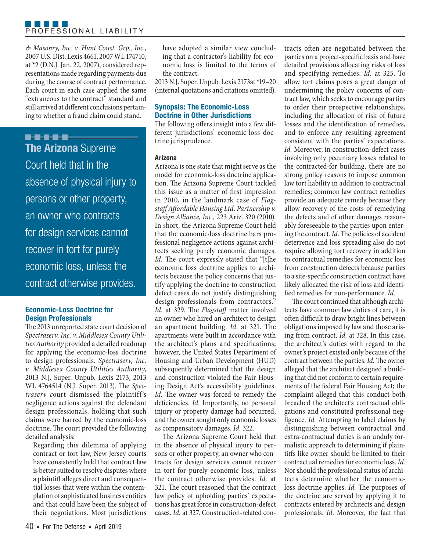#### PROFESSIONAL LIABILITY

& Masonry, Inc. v. Hunt Const. Grp., Inc., 2007 U.S. Dist. Lexis 4661, 2007 WL 174710, at \*2 (D.N.J. Jan. 22, 2007), considered representations made regarding payments due during the course of contract performance. Each court in each case applied the same "extraneous to the contract" standard and still arrived at different conclusions pertaining to whether a fraud claim could stand.

**B-B-B-B-B-The Arizona** Supreme Court held that in the absence of physical injury to persons or other property, an owner who contracts for design services cannot recover in tort for purely economic loss, unless the contract otherwise provides.

# **Economic-Loss Doctrine for Design Professionals**

The 2013 unreported state court decision of Spectraserv, Inc. v. Middlesex County Utilities Authority provided a detailed roadmap for applying the economic-loss doctrine to design professionals. Spectraserv, Inc. v. Middlesex County Utilities Authority, 2013 N.J. Super. Unpub. Lexis 2173, 2013 WL 4764514 (N.J. Super. 2013). The Spectraserv court dismissed the plaintiff's negligence actions against the defendant design professionals, holding that such claims were barred by the economic-loss doctrine. The court provided the following detailed analysis:

Regarding this dilemma of applying contract or tort law, New Jersey courts have consistently held that contract law is better suited to resolve disputes where a plaintiff alleges direct and consequential losses that were within the contemplation of sophisticated business entities and that could have been the subject of their negotiations. Most jurisdictions

have adopted a similar view concluding that a contractor's liability for economic loss is limited to the terms of the contract.

2013 N.J. Super. Unpub. Lexis 2173at \*19–20 (internal quotations and citations omitted).

# **Synopsis: The Economic-Loss Doctrine in Other Jurisdictions**

The following offers insight into a few different jurisdictions' economic-loss doctrine jurisprudence.

# **Arizona**

Arizona is one state that might serve as the model for economic-loss doctrine application. The Arizona Supreme Court tackled this issue as a matter of first impression in 2010, in the landmark case of Flagstaff Affordable Housing Ltd. Partnership v. Design Alliance, Inc., 223 Ariz. 320 (2010). In short, the Arizona Supreme Court held that the economic-loss doctrine bars professional negligence actions against architects seeking purely economic damages. Id. The court expressly stated that "[t]he economic loss doctrine applies to architects because the policy concerns that justify applying the doctrine to construction defect cases do not justify distinguishing design professionals from contractors." Id. at 329. The Flagstaff matter involved an owner who hired an architect to design an apartment building. Id. at 321. The apartments were built in accordance with the architect's plans and specifications; however, the United States Department of Housing and Urban Development (HUD) subsequently determined that the design and construction violated the Fair Housing Design Act's accessibility guidelines. Id. The owner was forced to remedy the deficiencies. Id. Importantly, no personal injury or property damage had occurred, and the owner sought only economic losses as compensatory damages. Id. 322.

The Arizona Supreme Court held that in the absence of physical injury to persons or other property, an owner who contracts for design services cannot recover in tort for purely economic loss, unless the contract otherwise provides. Id. at 321. The court reasoned that the contract law policy of upholding parties' expectations has great force in construction- defect cases. Id. at 327. Construction- related contracts often are negotiated between the parties on a project-specific basis and have detailed provisions allocating risks of loss and specifying remedies. Id. at 325. To allow tort claims poses a great danger of undermining the policy concerns of contract law, which seeks to encourage parties to order their prospective relationships, including the allocation of risk of future losses and the identification of remedies, and to enforce any resulting agreement consistent with the parties' expectations. Id. Moreover, in construction- defect cases involving only pecuniary losses related to the contracted-for building, there are no strong policy reasons to impose common law tort liability in addition to contractual remedies; common law contract remedies provide an adequate remedy because they allow recovery of the costs of remedying the defects and of other damages reasonably foreseeable to the parties upon entering the contract. Id. The policies of accident deterrence and loss spreading also do not require allowing tort recovery in addition to contractual remedies for economic loss from construction defects because parties to a site-specific construction contract have likely allocated the risk of loss and identified remedies for non-performance. Id.

The court continued that although architects have common law duties of care, it is often difficult to draw bright lines between obligations imposed by law and those arising from contract. Id. at 328. In this case, the architect's duties with regard to the owner's project existed only because of the contract between the parties. Id. The owner alleged that the architect designed a building that did not conform to certain requirements of the federal Fair Housing Act; the complaint alleged that this conduct both breached the architect's contractual obligations and constituted professional negligence. Id. Attempting to label claims by distinguishing between contractual and extra- contractual duties is an unduly formalistic approach to determining if plaintiffs like owner should be limited to their contractual remedies for economic loss. Id. Nor should the professional status of architects determine whether the economicloss doctrine applies. Id. The purposes of the doctrine are served by applying it to contracts entered by architects and design professionals. Id. Moreover, the fact that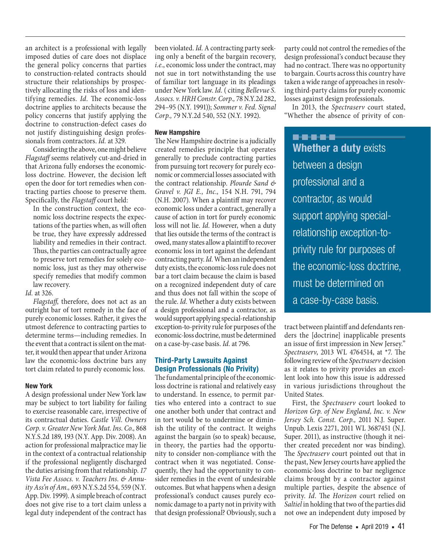an architect is a professional with legally imposed duties of care does not displace the general policy concerns that parties to construction- related contracts should structure their relationships by prospectively allocating the risks of loss and identifying remedies. Id. The economic-loss doctrine applies to architects because the policy concerns that justify applying the doctrine to construction- defect cases do not justify distinguishing design professionals from contractors. Id. at 329.

Considering the above, one might believe Flagstaff seems relatively cut-and-dried in that Arizona fully endorses the economicloss doctrine. However, the decision left open the door for tort remedies when contracting parties choose to preserve them. Specifically, the Flagstaff court held:

In the construction context, the economic loss doctrine respects the expectations of the parties when, as will often be true, they have expressly addressed liability and remedies in their contract. Thus, the parties can contractually agree to preserve tort remedies for solely economic loss, just as they may otherwise specify remedies that modify common law recovery.

Id. at 326.

Flagstaff, therefore, does not act as an outright bar of tort remedy in the face of purely economic losses. Rather, it gives the utmost deference to contracting parties to determine terms—including remedies. In the event that a contract is silent on the matter, it would then appear that under Arizona law the economic-loss doctrine bars any tort claim related to purely economic loss.

#### **New York**

A design professional under New York law may be subject to tort liability for failing to exercise reasonable care, irrespective of its contractual duties. Castle Vill. Owners Corp. v. Greater New York Mut. Ins. Co., 868 N.Y.S.2d 189, 193 (N.Y. App. Div. 2008). An action for professional malpractice may lie in the context of a contractual relationship if the professional negligently discharged the duties arising from that relationship. 17 Vista Fee Assocs. v. Teachers Ins. & Annuity Ass'n of Am., 693 N.Y.S.2d 554, 559 (N.Y. App. Div. 1999). A simple breach of contract does not give rise to a tort claim unless a legal duty independent of the contract has

been violated. Id. A contracting party seeking only a benefit of the bargain recovery, i.e., economic loss under the contract, may not sue in tort notwithstanding the use of familiar tort language in its pleadings under New York law. Id. (citing Bellevue S. Assocs. v. HRH Constr. Corp., 78 N.Y.2d 282, 294–95 (N.Y. 1991)); Sommer v. Fed. Signal Corp., 79 N.Y.2d 540, 552 (N.Y. 1992).

# **New Hampshire**

The New Hampshire doctrine is a judicially created remedies principle that operates generally to preclude contracting parties from pursuing tort recovery for purely economic or commercial losses associated with the contract relationship. Plourde Sand & Gravel v. JGI E., Inc., 154 N.H. 791, 794 (N.H. 2007). When a plaintiff may recover economic loss under a contract, generally a cause of action in tort for purely economic loss will not lie. Id. However, when a duty that lies outside the terms of the contract is owed, many states allow a plaintiff to recover economic loss in tort against the defendant contracting party. Id. When an independent duty exists, the economic- loss rule does not bar a tort claim because the claim is based on a recognized independent duty of care and thus does not fall within the scope of the rule. Id. Whether a duty exists between a design professional and a contractor, as would support applying special- relationship exception-to-privity rule for purposes of the economic- loss doctrine, must be determined on a case-by-case basis. Id. at 796.

# **Third-Party Lawsuits Against Design Professionals (No Privity)**

The fundamental principle of the economicloss doctrine is rational and relatively easy to understand. In essence, to permit parties who entered into a contract to sue one another both under that contract and in tort would be to undermine or diminish the utility of the contract. It weighs against the bargain (so to speak) because, in theory, the parties had the opportunity to consider non- compliance with the contract when it was negotiated. Consequently, they had the opportunity to consider remedies in the event of undesirable outcomes. But what happens when a design professional's conduct causes purely economic damage to a party not in privity with that design professional? Obviously, such a

party could not control the remedies of the design professional's conduct because they had no contract. There was no opportunity to bargain. Courts across this country have taken a wide range of approaches in resolving third-party claims for purely economic losses against design professionals.

In 2013, the Spectraserv court stated, "Whether the absence of privity of con-

**..... Whether a duty exists** between a design professional and a contractor, as would support applying specialrelationship exception-toprivity rule for purposes of the economic-loss doctrine, must be determined on a case-by-case basis.

tract between plaintiff and defendants renders the [doctrine] inapplicable presents an issue of first impression in New Jersey." Spectraserv, 2013 WL 4764514, at \*7. The following review of the Spectraserv decision as it relates to privity provides an excellent look into how this issue is addressed in various jurisdictions throughout the United States.

First, the Spectraserv court looked to Horizon Grp. of New England, Inc. v. New Jersey Sch. Const. Corp., 2011 N.J. Super. Unpub. Lexis 2271, 2011 WL 3687451 (N.J. Super. 2011), as instructive (though it neither created precedent nor was binding). The Spectraserv court pointed out that in the past, New Jersey courts have applied the economic-loss doctrine to bar negligence claims brought by a contractor against multiple parties, despite the absence of privity. Id. The Horizon court relied on Saltiel in holding that two of the parties did not owe an independent duty imposed by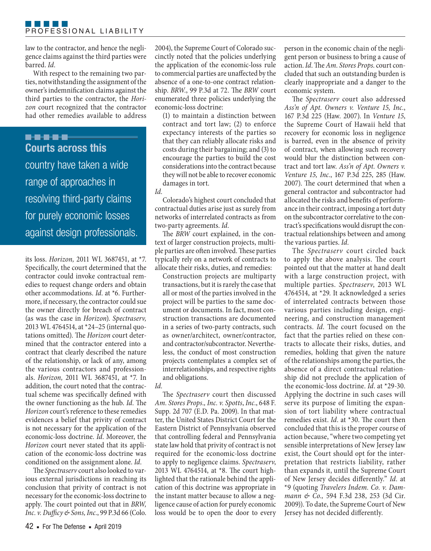law to the contractor, and hence the negligence claims against the third parties were barred. Id.

With respect to the remaining two parties, notwithstanding the assignment of the owner's indemnification claims against the third parties to the contractor, the Horizon court recognized that the contractor had other remedies available to address

**B-0-0-0-0 Courts across this**  country have taken a wide range of approaches in resolving third-party claims for purely economic losses against design professionals.

its loss. Horizon, 2011 WL 3687451, at \*7. Specifically, the court determined that the contractor could invoke contractual remedies to request change orders and obtain other accommodations. Id. at \*6. Furthermore, if necessary, the contractor could sue the owner directly for breach of contract (as was the case in Horizon). Spectraserv, 2013 WL 4764514, at\*24–25 (internal quotations omitted). The Horizon court determined that the contractor entered into a contract that clearly described the nature of the relationship, or lack of any, among the various contractors and professionals. Horizon, 2011 WL 3687451, at \*7. In addition, the court noted that the contractual scheme was specifically defined with the owner functioning as the hub. Id. The Horizon court's reference to these remedies evidences a belief that privity of contract is not necessary for the application of the economic-loss doctrine. Id. Moreover, the Horizon court never stated that its application of the economic- loss doctrine was conditioned on the assignment alone. Id.

The Spectraserv court also looked to various external jurisdictions in reaching its conclusion that privity of contract is not necessary for the economic- loss doctrine to apply. The court pointed out that in BRW, Inc. v. Dufficy & Sons, Inc., 99 P.3d 66 (Colo.

42 • For The Defense • April 2019

2004), the Supreme Court of Colorado succinctly noted that the policies underlying the application of the economic-loss rule to commercial parties are unaffected by the absence of a one-to-one contract relationship. BRW., 99 P.3d at 72. The BRW court enumerated three policies underlying the economic-loss doctrine:

(1) to maintain a distinction between contract and tort law; (2) to enforce expectancy interests of the parties so that they can reliably allocate risks and costs during their bargaining; and (3) to encourage the parties to build the cost considerations into the contract because they will not be able to recover economic damages in tort.

Id.

Colorado's highest court concluded that contractual duties arise just as surely from networks of interrelated contracts as from two-party agreements. Id.

The BRW court explained, in the context of larger construction projects, multiple parties are often involved. These parties typically rely on a network of contracts to allocate their risks, duties, and remedies:

Construction projects are multiparty transactions, but it is rarely the case that all or most of the parties involved in the project will be parties to the same document or documents. In fact, most construction transactions are documented in a series of two-party contracts, such as owner/architect, owner/contractor, and contractor/subcontractor. Nevertheless, the conduct of most construction projects contemplates a complex set of interrelationships, and respective rights and obligations.

Id.

The Spectraserv court then discussed Am. Stores Props., Inc. v. Spotts, Inc., 648 F. Supp. 2d 707 (E.D. Pa. 2009). In that matter, the United States District Court for the Eastern District of Pennsylvania observed that controlling federal and Pennsylvania state law hold that privity of contract is not required for the economic-loss doctrine to apply to negligence claims. Spectraserv, 2013 WL 4764514, at \*8. The court highlighted that the rationale behind the application of this doctrine was appropriate in the instant matter because to allow a negligence cause of action for purely economic loss would be to open the door to every person in the economic chain of the negligent person or business to bring a cause of action. Id. The Am. Stores Props. court concluded that such an outstanding burden is clearly inappropriate and a danger to the economic system.

The Spectraserv court also addressed Ass'n of Apt. Owners v. Venture 15, Inc., 167 P.3d 225 (Haw. 2007). In Venture 15, the Supreme Court of Hawaii held that recovery for economic loss in negligence is barred, even in the absence of privity of contract, when allowing such recovery would blur the distinction between contract and tort law. Ass'n of Apt. Owners v. Venture 15, Inc., 167 P.3d 225, 285 (Haw. 2007). The court determined that when a general contractor and subcontractor had allocated the risks and benefits of performance in their contract, imposing a tort duty on the subcontractor correlative to the contract's specifications would disrupt the contractual relationships between and among the various parties. Id.

The Spectraserv court circled back to apply the above analysis. The court pointed out that the matter at hand dealt with a large construction project, with multiple parties. Spectraserv, 2013 WL 4764514, at \*29. It acknowledged a series of interrelated contracts between those various parties including design, engineering, and construction management contracts. Id. The court focused on the fact that the parties relied on these contracts to allocate their risks, duties, and remedies, holding that given the nature of the relationships among the parties, the absence of a direct contractual relationship did not preclude the application of the economic-loss doctrine. Id. at \*29-30. Applying the doctrine in such cases will serve its purpose of limiting the expansion of tort liability where contractual remedies exist. Id. at \*30. The court then concluded that this is the proper course of action because, "where two competing yet sensible interpretations of New Jersey law exist, the Court should opt for the interpretation that restricts liability, rather than expands it, until the Supreme Court of New Jersey decides differently." Id. at \*9 (quoting Travelers Indem. Co. v. Dammann & Co., 594 F.3d 238, 253 (3d Cir. 2009)). To date, the Supreme Court of New Jersey has not decided differently.